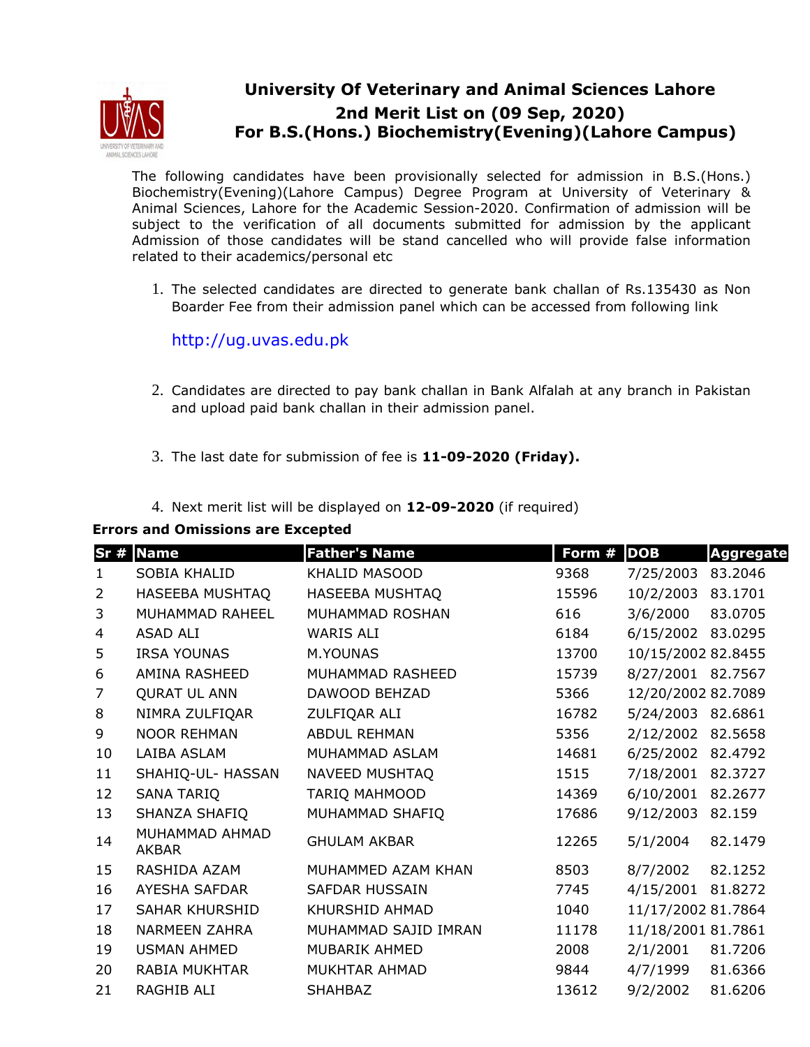

## **University Of Veterinary and Animal Sciences Lahore 2nd Merit List on (09 Sep, 2020) For B.S.(Hons.) Biochemistry(Evening)(Lahore Campus)**

The following candidates have been provisionally selected for admission in B.S.(Hons.) Biochemistry(Evening)(Lahore Campus) Degree Program at University of Veterinary & Animal Sciences, Lahore for the Academic Session-2020. Confirmation of admission will be subject to the verification of all documents submitted for admission by the applicant Admission of those candidates will be stand cancelled who will provide false information related to their academics/personal etc

1. The selected candidates are directed to generate bank challan of Rs.135430 as Non Boarder Fee from their admission panel which can be accessed from following link

http://ug.uvas.edu.pk

- 2. Candidates are directed to pay bank challan in Bank Alfalah at any branch in Pakistan and upload paid bank challan in their admission panel.
- 3. The last date for submission of fee is **11-09-2020 (Friday).**
- 4. Next merit list will be displayed on **12-09-2020** (if required)

| Errors and Omissions are Excepted |                                |                       |        |                    |                  |  |  |  |  |
|-----------------------------------|--------------------------------|-----------------------|--------|--------------------|------------------|--|--|--|--|
|                                   | Sr # Name                      | <b>Father's Name</b>  | Form # | <b>DOB</b>         | <b>Aggregate</b> |  |  |  |  |
| $\mathbf{1}$                      | SOBIA KHALID                   | KHALID MASOOD         | 9368   | 7/25/2003          | 83.2046          |  |  |  |  |
| 2                                 | HASEEBA MUSHTAQ                | HASEEBA MUSHTAQ       | 15596  | 10/2/2003          | 83.1701          |  |  |  |  |
| 3                                 | MUHAMMAD RAHEEL                | MUHAMMAD ROSHAN       | 616    | 3/6/2000           | 83.0705          |  |  |  |  |
| 4                                 | ASAD ALI                       | <b>WARIS ALI</b>      | 6184   | 6/15/2002 83.0295  |                  |  |  |  |  |
| 5                                 | <b>IRSA YOUNAS</b>             | M.YOUNAS              | 13700  | 10/15/2002 82.8455 |                  |  |  |  |  |
| 6                                 | AMINA RASHEED                  | MUHAMMAD RASHEED      | 15739  | 8/27/2001 82.7567  |                  |  |  |  |  |
| 7                                 | <b>QURAT UL ANN</b>            | DAWOOD BEHZAD         | 5366   | 12/20/2002 82.7089 |                  |  |  |  |  |
| 8                                 | NIMRA ZULFIQAR                 | ZULFIQAR ALI          | 16782  | 5/24/2003 82.6861  |                  |  |  |  |  |
| 9                                 | <b>NOOR REHMAN</b>             | <b>ABDUL REHMAN</b>   | 5356   | 2/12/2002 82.5658  |                  |  |  |  |  |
| 10                                | LAIBA ASLAM                    | MUHAMMAD ASLAM        | 14681  | 6/25/2002          | 82.4792          |  |  |  |  |
| 11                                | SHAHIQ-UL- HASSAN              | NAVEED MUSHTAQ        | 1515   | 7/18/2001          | 82.3727          |  |  |  |  |
| 12                                | <b>SANA TARIQ</b>              | TARIQ MAHMOOD         | 14369  | 6/10/2001          | 82.2677          |  |  |  |  |
| 13                                | SHANZA SHAFIQ                  | MUHAMMAD SHAFIQ       | 17686  | 9/12/2003 82.159   |                  |  |  |  |  |
| 14                                | MUHAMMAD AHMAD<br><b>AKBAR</b> | <b>GHULAM AKBAR</b>   | 12265  | 5/1/2004           | 82.1479          |  |  |  |  |
| 15                                | RASHIDA AZAM                   | MUHAMMED AZAM KHAN    | 8503   | 8/7/2002           | 82.1252          |  |  |  |  |
| 16                                | AYESHA SAFDAR                  | <b>SAFDAR HUSSAIN</b> | 7745   | 4/15/2001          | 81.8272          |  |  |  |  |
| 17                                | <b>SAHAR KHURSHID</b>          | KHURSHID AHMAD        | 1040   | 11/17/2002 81.7864 |                  |  |  |  |  |
| 18                                | <b>NARMEEN ZAHRA</b>           | MUHAMMAD SAJID IMRAN  | 11178  | 11/18/2001 81.7861 |                  |  |  |  |  |
| 19                                | <b>USMAN AHMED</b>             | MUBARIK AHMED         | 2008   | 2/1/2001           | 81.7206          |  |  |  |  |
| 20                                | <b>RABIA MUKHTAR</b>           | MUKHTAR AHMAD         | 9844   | 4/7/1999           | 81.6366          |  |  |  |  |
| 21                                | RAGHIB ALI                     | <b>SHAHBAZ</b>        | 13612  | 9/2/2002           | 81.6206          |  |  |  |  |

## **Errors and Omissions are Excepted**